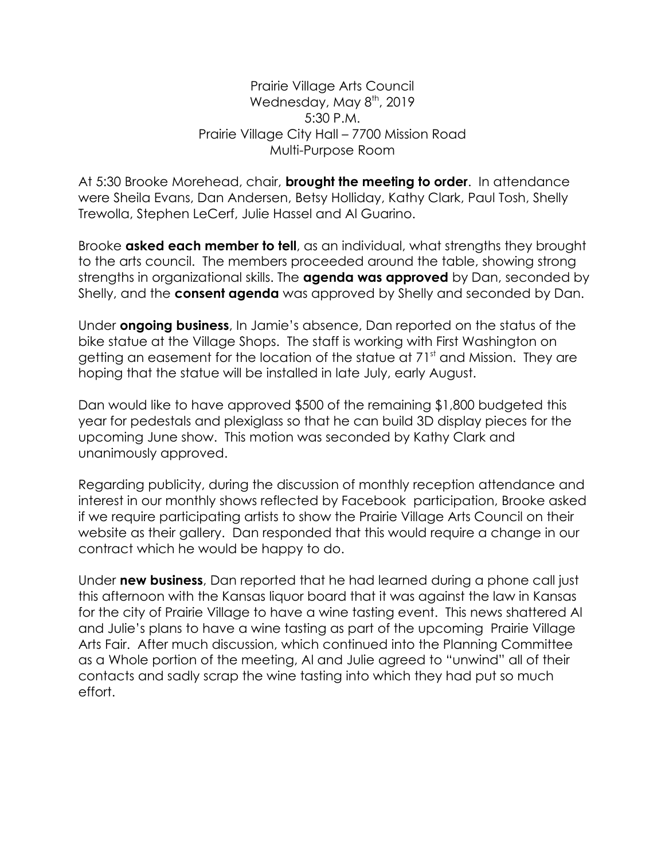## Prairie Village Arts Council Wednesday, May 8<sup>th</sup>, 2019 5:30 P.M. Prairie Village City Hall – 7700 Mission Road Multi-Purpose Room

At 5:30 Brooke Morehead, chair, **brought the meeting to order**. In attendance were Sheila Evans, Dan Andersen, Betsy Holliday, Kathy Clark, Paul Tosh, Shelly Trewolla, Stephen LeCerf, Julie Hassel and Al Guarino.

Brooke **asked each member to tell**, as an individual, what strengths they brought to the arts council. The members proceeded around the table, showing strong strengths in organizational skills. The **agenda was approved** by Dan, seconded by Shelly, and the **consent agenda** was approved by Shelly and seconded by Dan.

Under **ongoing business**, In Jamie's absence, Dan reported on the status of the bike statue at the Village Shops. The staff is working with First Washington on getting an easement for the location of the statue at  $71<sup>st</sup>$  and Mission. They are hoping that the statue will be installed in late July, early August.

Dan would like to have approved \$500 of the remaining \$1,800 budgeted this year for pedestals and plexiglass so that he can build 3D display pieces for the upcoming June show. This motion was seconded by Kathy Clark and unanimously approved.

Regarding publicity, during the discussion of monthly reception attendance and interest in our monthly shows reflected by Facebook participation, Brooke asked if we require participating artists to show the Prairie Village Arts Council on their website as their gallery. Dan responded that this would require a change in our contract which he would be happy to do.

Under **new business**, Dan reported that he had learned during a phone call just this afternoon with the Kansas liquor board that it was against the law in Kansas for the city of Prairie Village to have a wine tasting event. This news shattered Al and Julie's plans to have a wine tasting as part of the upcoming Prairie Village Arts Fair. After much discussion, which continued into the Planning Committee as a Whole portion of the meeting, Al and Julie agreed to "unwind" all of their contacts and sadly scrap the wine tasting into which they had put so much effort.